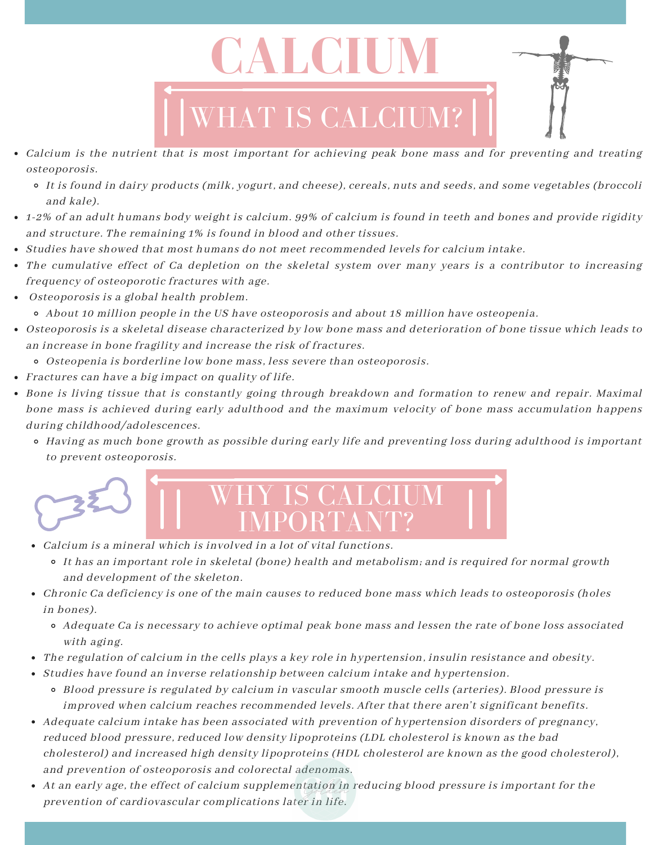

- Calcium is the nutrient that is most important for achieving peak bone mass and for preventing and treating osteoporosis.
	- It is found in dairy products (milk, yogurt, and cheese), cereals, nuts and seeds, and some vegetables (broccoli and kale).
- 1-2% of an adult humans body weight is calcium. 99% of calcium is found in teeth and bones and provide rigidity and structure. The remaining 1% is found in blood and other tissues.
- Studies have showed that most humans do not meet recommended levels for calcium intake.
- The cumulative effect of Ca depletion on the skeletal system over many years is a contributor to increasing frequency of osteoporotic fractures with age.
- Osteoporosis is a global health problem. About 10 million people in the US have osteoporosis and about 18 million have osteopenia.
- Osteoporosis is a skeletal disease characterized by low bone mass and deterioration of bone tissue which leads to an increase in bone fragility and increase the risk of fractures.
	- Osteopenia is borderline low bone mass, less severe than osteoporosis.
- Fractures can have a big impact on quality of life.
- Bone is living tissue that is constantly going through breakdown and formation to renew and repair. Maximal bone mass is achieved during early adulthood and the maximum velocity of bone mass accumulation happens during childhood/adolescences.
	- Having as much bone growth as possible during early life and preventing loss during adulthood is important to prevent osteoporosis.



- Calcium is a mineral which is involved in a lot of vital functions.
	- It has an important role in skeletal (bone) health and metabolism; and is required for normal growth and development of the skeleton.
- Chronic Ca deficiency is one of the main causes to reduced bone mass which leads to osteoporosis (holes in bones).
	- Adequate Ca is necessary to achieve optimal peak bone mass and lessen the rate of bone loss associated with aging.
- The regulation of calcium in the cells plays a key role in hypertension, insulin resistance and obesity.
- Studies have found an inverse relationship between calcium intake and hypertension.
	- Blood pressure is regulated by calcium in vascular smooth muscle cells (arteries). Blood pressure is improved when calcium reaches recommended levels. After that there aren't significant benefits.
- Adequate calcium intake has been associated with prevention of hypertension disorders of pregnancy, reduced blood pressure, reduced low density lipoproteins (LDL cholesterol is known as the bad cholesterol) and increased high density lipoproteins (HDL cholesterol are known as the good cholesterol), and prevention of osteoporosis and colorectal adenomas.
- At an early age, the effect of calcium supplementation in reducing blood pressure is important for the prevention of cardiovascular complications later in life.